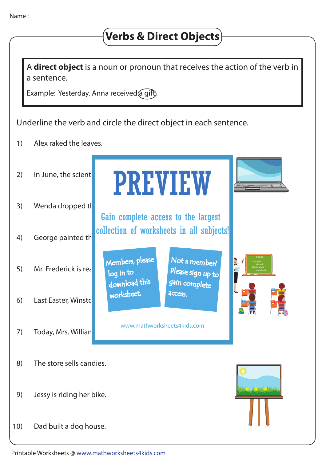## **Verbs & Direct Objects**

A **direct object** is a noun or pronoun that receives the action of the verb in a sentence.

Example: Yesterday, Anna received a gift)

Underline the verb and circle the direct object in each sentence.

1) Alex raked the leaves.